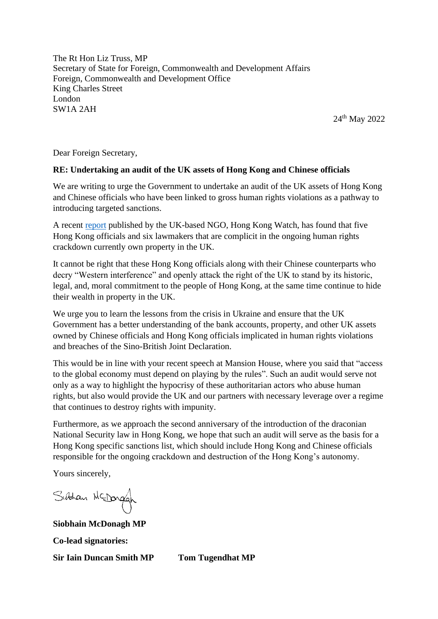The Rt Hon Liz Truss, MP Secretary of State for Foreign, Commonwealth and Development Affairs Foreign, Commonwealth and Development Office King Charles Street London SW1A 2AH

24th May 2022

Dear Foreign Secretary,

## **RE: Undertaking an audit of the UK assets of Hong Kong and Chinese officials**

We are writing to urge the Government to undertake an audit of the UK assets of Hong Kong and Chinese officials who have been linked to gross human rights violations as a pathway to introducing targeted sanctions.

A recent [report](https://www.hongkongwatch.org/all-posts/2022/4/21/f8awriuffug92edhkaocz9rdsuvb26) published by the UK-based NGO, Hong Kong Watch, has found that five Hong Kong officials and six lawmakers that are complicit in the ongoing human rights crackdown currently own property in the UK.

It cannot be right that these Hong Kong officials along with their Chinese counterparts who decry "Western interference" and openly attack the right of the UK to stand by its historic, legal, and, moral commitment to the people of Hong Kong, at the same time continue to hide their wealth in property in the UK.

We urge you to learn the lessons from the crisis in Ukraine and ensure that the UK Government has a better understanding of the bank accounts, property, and other UK assets owned by Chinese officials and Hong Kong officials implicated in human rights violations and breaches of the Sino-British Joint Declaration.

This would be in line with your recent speech at Mansion House, where you said that "access to the global economy must depend on playing by the rules". Such an audit would serve not only as a way to highlight the hypocrisy of these authoritarian actors who abuse human rights, but also would provide the UK and our partners with necessary leverage over a regime that continues to destroy rights with impunity.

Furthermore, as we approach the second anniversary of the introduction of the draconian National Security law in Hong Kong, we hope that such an audit will serve as the basis for a Hong Kong specific sanctions list, which should include Hong Kong and Chinese officials responsible for the ongoing crackdown and destruction of the Hong Kong's autonomy.

Yours sincerely,

Sistian McDorgan

**Siobhain McDonagh MP Co-lead signatories: Sir Iain Duncan Smith MP Tom Tugendhat MP**